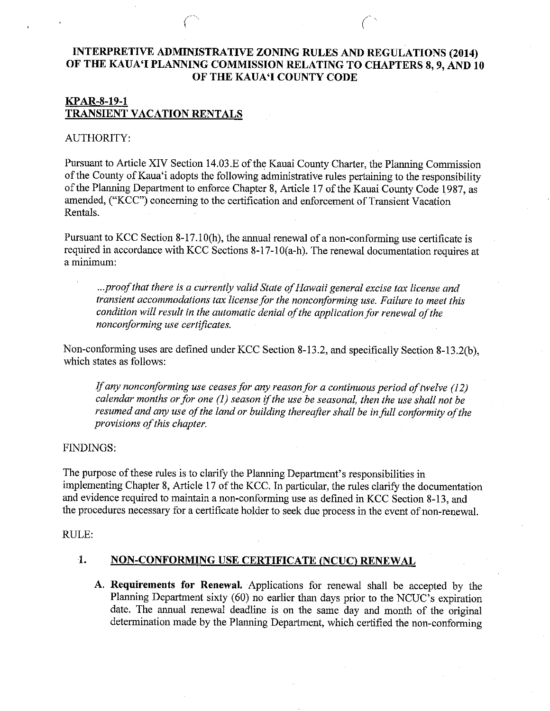## INTERPRETIVE ADMINISTRATIVE ZONING RULES AND REGULATIONS (2014) OF THE KAUA'I PLANNING COMMISSION RELATING TO CHAPTERS 8, 9, AND 10 OF THE KAUA'I COUNTY CODE

## KPAR-8-19-1 TRANSIENT VACATION RENTALS

### AUTHORITY:

Pursuant to Article XIV Section 14.03.E of the Kauai County Charter, the Planning Commission of the County of Kaua'i adopts the following administrative rules pertaining to the responsibility of the Planning Department to enforce Chapter 8, Article 17 of the Kauai County Code 1987, as amended, ("KCC") concerning to the certification and enforcement of Transient Vacation Rentals.

Pursuant to KCC Section 8-17.10(h), the annual renewal of a non-conforming use certificate is required in accordance with KCC Sections 8-17-10(a-h). The renewal documentation requires at a minimum:

...proof that there is a currently valid State of Hawaii general excise tax license and transient accommodations tax license for the nonconforming use. Failure to meet this condition will result in the automatic denial of the application for renewal of the nonconforming use certificates.

Non-conforming uses are defined under KCC Section 8-13.2, and specifically Section 8-13.2(b), which states as follows:

If any nonconforming use ceases for any reason for a continuous period of twelve  $(12)$ calendar months or for one  $(1)$  season if the use be seasonal, then the use shall not be resumed and any use of the land or building thereafter shall be in full conformity of the provisions of this chapter.

#### FINDINGS:

The purpose of these rules is to clarify the Planning Department's responsibilities in implementing Chapter 8, Article 17 of the KCC. In particular, the rules clarify the documentation and evidence required to maintain a non-conforming use as defined in KCC Section 8-13, and the procedures necessary for a certificate holder to seek due process in the event of non-renewal.

#### RULE:

## 1. NON-CONFORMING USE CERTIFICATE (NCUC) RENEWAL

A. Requirements for Renewal. Applications for renewal shall be accepted by the Planning Department sixty (60) no earlier than days prior to the NCUC's expiration date. The annual renewal deadline is on the same day and month of the original determination made by the Planning Department, which certified the non-conforming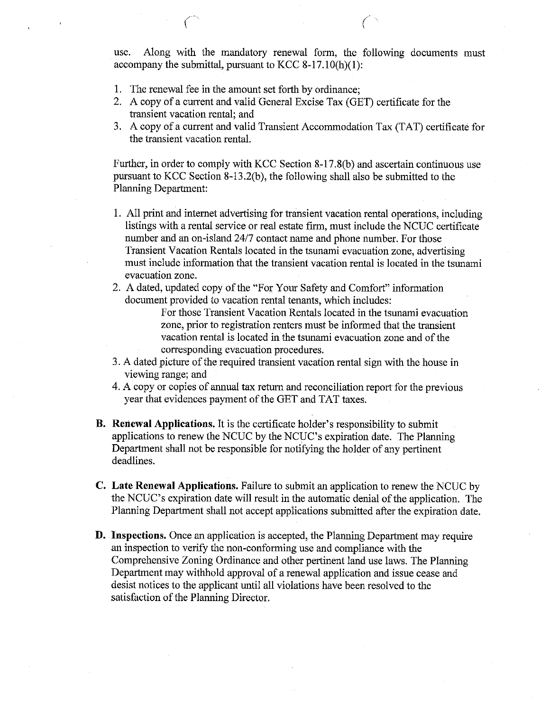use. Along with the mandatory renewal form, the following documents must accompany the submittal, pursuant to KCC 8-17.10(h)(1):

- 1. The renewal fee in the amount set forth by ordinance;
- 2. A copy of a current and valid General Excise Tax (GET) certificate for the transient vacation rental; and
- 3. A copy of a current and valid Transient Accommodation Tax (TAT) certificate for the transient vacation rental.

Further, in order to comply with KCC Section 8-17.8(b) and ascertain continuous use pursuant to KCC Section 8-13.2(b), the following shall also be submitted to the Planning Department:

- 1. All print and intemet advertising for transient vacation rental operations, including listings with a rental service or real estate firm, must include the NCUC certificate number and an on-island 24/7 contact name and phone number. For those Transient Vacation Rentals located in the tsunami evacuation zone, advertising must include information that the transient vacation rental is located in the tsunami evacuation zone.
- 2. A dated, updated copy of the "For Your Safety and Comfort" information document provided to vacation rental tenants, which includes:

For those Transient Vacation Rentals located in the tsunami evacuation zone, prior to registration renters must be informed that fhe transient vacation rental is located in the tsunami evacuation zone and of the corresponding evacuation procedures.

- 3. A dated picture of the required transient vacation rental sign with the house in viewing range; and
- 4. A copy or copies of annual tax return and reconciliation report for the previous year that evidences payment of the GET and TAT taxes.
- B. Reriewal Applications. It is the certificate holder's responsibility to submit applications to renew the NCUC by the NCUC's expiration date. The Planning Department shall not be responsible for notifying the holder of any pertinent deadlines.
- C. Late Renewal Applications. Failure to submit an application to renew the NCUC by the NCUC's expiration date will result in the automatic denial of the application. The Planning Department shall not accept applications submitted after the expiration date.
- D. Inspections. Once an application is accepted, the Planning Department may require an inspection to verify the non-conforming use and compliance with the Comprehensive Zoning Ordinance and other pertinent land use laws. The Planning Department may withhold approval of a renewal application and issue cease and desist notices to the applicant until all violations have been resolved to the satisfaction of the Planning Director.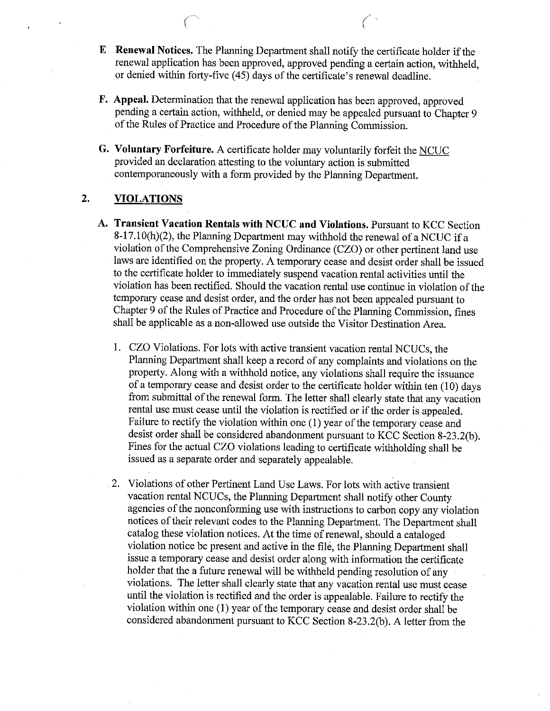- E Renewal Notices. The Planning Department shall notify the certificate holder if the renewal application has been approved, approved pending a certain action, withheld, or denied within forty-five (45) days of the certificate's renewal deadline.
- F. Appeal. Determination that the renewal application has been approved, approved pending a certain action, withheld, or denied may be appealed pursuant to Chapter <sup>9</sup> of the Rules of Practice and Procedure of the Planning Commission.
- G. Voluntary Forfeiture. A certificate holder may voluntarily forfeit the NCUC provided an declaration attesting to the voluntary action is submitted contemporaneously with a form provided by the Planning Department.

# 2. VIOLATIONS

r'

- A. Transient Vacation Rentals with NCUC and Violations. Pursuant to KCC Section 8-17.10(h)(2), the Planning Department may withhold the renewal of a NCUC if a violation of the Comprehensive Zoning Ordinance (CZO) or other pertinent land use laws are identified on the property. A temporary cease and desist order shall be issued to the certificate holder to immediately suspend vacation rental activities until the violation has been rectified. Should the vacation rental use continue in violation of the temporary cease and desist order, and the order has not been appealed pursuant to Chapter 9 of the Rules of Practice and Procedure of the Planning Commission, fines shall be applicable as a non-allowed use outside the Visitor Destination Area.
	- 1. CZO Violations. For lots with active tansient vacation rental NCUCs, the Planning Department shall keep a record of any complaints and violations on the property. Along with a withhold notice, any violations shall require the issuance ofa temporary cease and desist order to the certificate holder within ten (10) days from submittal of the renewal form. The letter shall clearly state that any vacation rental use must cease until the violation is rectified or if the order is appealed. Failure to rectify the violation within one (1) year of the temporary cease and desist order shall be considered abandonment pursuant to KCC Section 8-23.2(b). Fines for the actual CZO violations leading to certificate withholding shall be issued as a separate order and separately appealable.
	- 2. Violations of other Pertinent Land Use Laws. For lots with active transient vacation rental NCUCs, the Planning Department shall notify other County agencies of the nonconforming use with instructions to carbon copy any violation notices of their relevant codes to the Planning Department. The Department shall catalog these violation notices. At the time of renewal, should a cataloged violation notice be present and active in the file, the Planning Department shall issue a temporary cease and desist order along with information the certificate holder that the a future renewal will be withheld pending resolution of any violations. The letter shall clearly state that any vacation rental use must cease until the violation is rectified and the order is appealable. Failure to rectify the violation within one  $(1)$  year of the temporary cease and desist order shall be considered abandonment pursuant to KCC Section 8-23.2(b). A letter from the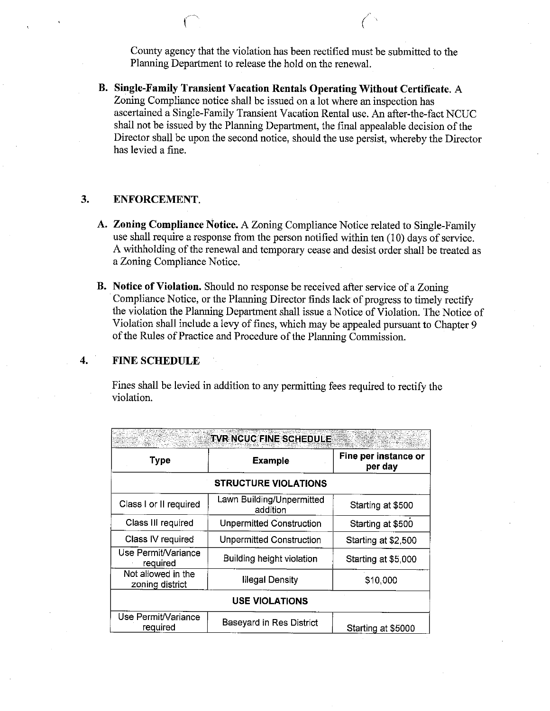County agency that the violation has been rectified must be submitted to the Planning Department to release the hold on the renewal.

B. SiagIe-Family Transient Vacation Rentals Operating Without Certificate. A Zoning Compliance notice shall be issued on a lot where an inspection has ascertained a Single-Family Transient Vacation Rental use. An after-the-fact NCUC shall not be issued by the Planning Department, the final appealable decision of the Director shall be upon the second notice, should the use persist, whereby the Director has levied a fine.

## 3. ENFORCEMENT.

- A. Zoning Compliance Notice. A Zoning Compliance Notice related to Single-Family use shall require a response from the person notified within ten  $(10)$  days of service. A withholding of the renewal and temporary cease and desist order shall be treated as a Zoning Compliance Notice.
- B. Notice of Violation. Should no response be received after service of a Zoning Compliance Notice, or the Planning Director finds lack of progress to timely rectify the violation the Planning Department shall issue a Notice of Violation. The Notice of Violation shall include a levy of fines, which may be appealed pursuant to Chapter 9 of the Rules of Practice and Procedure of the Planning Commission.

### 4. FINESCHEDULE

Fines shall be levied in addition to any permitting fees required to rectify the violation.

| TVR NCUC FINE SCHEDULE                |                                       |                                 |  |  |
|---------------------------------------|---------------------------------------|---------------------------------|--|--|
| <b>Type</b>                           | <b>Example</b>                        | Fine per instance or<br>per day |  |  |
| <b>STRUCTURE VIOLATIONS</b>           |                                       |                                 |  |  |
| Class I or II required                | Lawn Building/Unpermitted<br>addition | Starting at \$500               |  |  |
| Class III required                    | <b>Unpermitted Construction</b>       | Starting at \$500               |  |  |
| Class IV required                     | <b>Unpermitted Construction</b>       | Starting at \$2,500             |  |  |
| Use Permit/Variance<br>required       | Building height violation             | Starting at \$5,000             |  |  |
| Not allowed in the<br>zoning district | <b>Illegal Density</b>                | \$10,000                        |  |  |
| <b>USE VIOLATIONS</b>                 |                                       |                                 |  |  |
| Use Permit/Variance<br>required       | Baseyard in Res District              | Starting at \$5000              |  |  |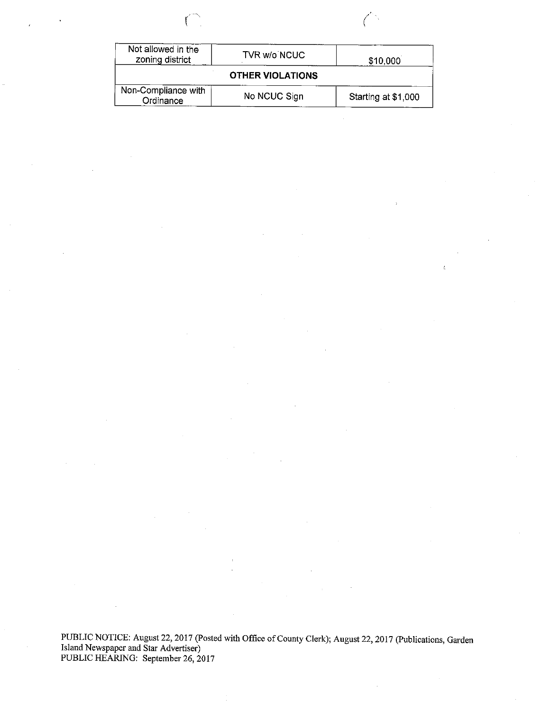| е |   |  |
|---|---|--|
|   | í |  |



 $\epsilon$ 

| Not allowed in the<br>zoning district | TVR w/o NCUC | \$10,000            |  |  |  |
|---------------------------------------|--------------|---------------------|--|--|--|
| <b>OTHER VIOLATIONS</b>               |              |                     |  |  |  |
| Non-Compliance with<br>Ordinance      | No NCUC Sign | Starting at \$1,000 |  |  |  |

PUBLIC NOTICE: August 22, 2017 (Posted with Office of County Clerk); August 22, 2017 (Publications, Garden<br>Island Newspaper and Star Advertiser) PUBLIC HEARING: September 26, 2017